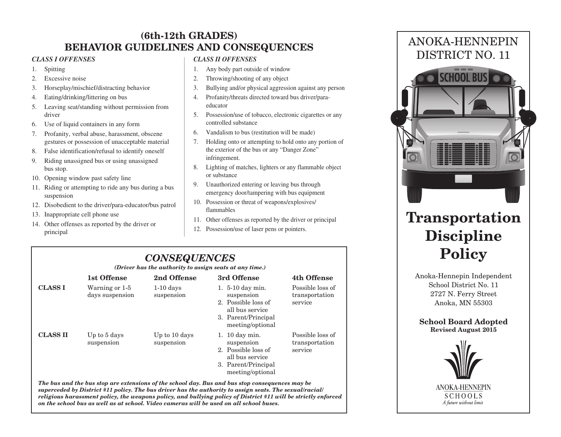# **(6th-12th GRADES) BEHAVIOR GUIDELINES AND CONSEQUENCES**

#### *CLASS I OFFENSES*

- 1. Spitting
- 2. Excessive noise
- 3. Horseplay/mischief/distracting behavior
- 4. Eating/drinking/littering on bus
- 5. Leaving seat/standing without permission from driver
- 6. Use of liquid containers in any form
- 7. Profanity, verbal abuse, harassment, obscene gestures or possession of unacceptable material
- 8. False identification/refusal to identify oneself
- 9. Riding unassigned bus or using unassigned bus stop.
- 10. Opening window past safety line
- 11. Riding or attempting to ride any bus during a bus suspension
- 12. Disobedient to the driver/para-educator/bus patrol
- 13. Inappropriate cell phone use
- 14. Other offenses as reported by the driver or principal

### *CLASS II OFFENSES*

- 1. Any body part outside of window
- 2. Throwing/shooting of any object
- 3. Bullying and/or physical aggression against any person
- 4. Profanity/threats directed toward bus driver/paraeducator
- 5. Possession/use of tobacco, electronic cigarettes or any controlled substance
- 6. Vandalism to bus (restitution will be made)
- 7. Holding onto or attempting to hold onto any portion of the exterior of the bus or any "Danger Zone" infringement.
- 8. Lighting of matches, lighters or any flammable object or substance
- 9. Unauthorized entering or leaving bus through emergency door/tampering with bus equipment
- 10. Possession or threat of weapons/explosives/ flammables
- 11. Other offenses as reported by the driver or principal
- 12. Possession/use of laser pens or pointers.

# *CONSEQUENCES*

*(Driver has the authority to assign seats at any time.)*

|                                                                                                 | 1st Offense                       | 2nd Offense                 | 3rd Offense                                                                                                         | 4th Offense                                   |  |  |
|-------------------------------------------------------------------------------------------------|-----------------------------------|-----------------------------|---------------------------------------------------------------------------------------------------------------------|-----------------------------------------------|--|--|
| <b>CLASS I</b>                                                                                  | Warning or 1-5<br>days suspension | $1-10$ days<br>suspension   | 1. 5-10 day min.<br>suspension<br>2. Possible loss of<br>all bus service<br>3. Parent/Principal<br>meeting/optional | Possible loss of<br>transportation<br>service |  |  |
| <b>CLASS II</b>                                                                                 | Up to 5 days<br>suspension        | Up to 10 days<br>suspension | 1. 10 day min.<br>suspension<br>2. Possible loss of<br>all bus service<br>3. Parent/Principal<br>meeting/optional   | Possible loss of<br>transportation<br>service |  |  |
| The bus and the bus stop are extensions of the school day. Bus and bus stop consequences may be |                                   |                             |                                                                                                                     |                                               |  |  |

*superceded by District #11 policy. The bus driver has the authority to assign seats. The sexual/racial/ religious harassment policy, the weapons policy, and bullying policy of District #11 will be strictly enforced on the school bus as well as at school. Video cameras will be used on all school buses.*



# **Transportation Discipline Policy**

Anoka-Hennepin Independent School District No. 11 2727 N. Ferry Street Anoka, MN 55303

**School Board Adopted Revised August 2015**